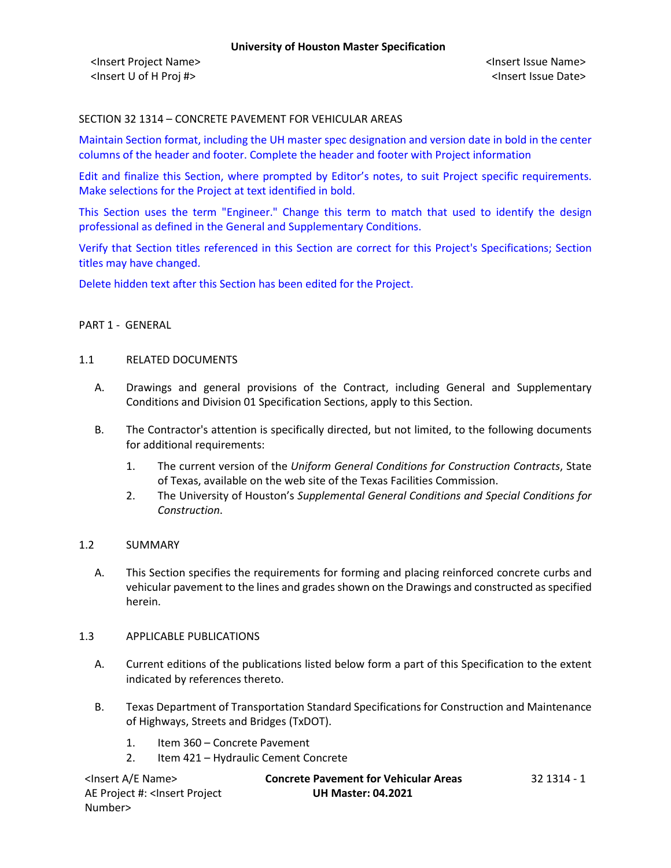### SECTION 32 1314 – CONCRETE PAVEMENT FOR VEHICULAR AREAS

Maintain Section format, including the UH master spec designation and version date in bold in the center columns of the header and footer. Complete the header and footer with Project information

Edit and finalize this Section, where prompted by Editor's notes, to suit Project specific requirements. Make selections for the Project at text identified in bold.

This Section uses the term "Engineer." Change this term to match that used to identify the design professional as defined in the General and Supplementary Conditions.

Verify that Section titles referenced in this Section are correct for this Project's Specifications; Section titles may have changed.

Delete hidden text after this Section has been edited for the Project.

#### PART 1 - GENERAL

#### 1.1 RELATED DOCUMENTS

- A. Drawings and general provisions of the Contract, including General and Supplementary Conditions and Division 01 Specification Sections, apply to this Section.
- B. The Contractor's attention is specifically directed, but not limited, to the following documents for additional requirements:
	- 1. The current version of the *Uniform General Conditions for Construction Contracts*, State of Texas, available on the web site of the Texas Facilities Commission.
	- 2. The University of Houston's *Supplemental General Conditions and Special Conditions for Construction*.

#### 1.2 SUMMARY

A. This Section specifies the requirements for forming and placing reinforced concrete curbs and vehicular pavement to the lines and grades shown on the Drawings and constructed as specified herein.

#### 1.3 APPLICABLE PUBLICATIONS

- A. Current editions of the publications listed below form a part of this Specification to the extent indicated by references thereto.
- B. Texas Department of Transportation Standard Specifications for Construction and Maintenance of Highways, Streets and Bridges (TxDOT).
	- 1. Item 360 Concrete Pavement
	- 2. Item 421 Hydraulic Cement Concrete

| <lnsert a="" e="" name=""></lnsert>                                                          | <b>Concrete Pavement for Vehicular Areas</b> | 32 1314 - 1 |
|----------------------------------------------------------------------------------------------|----------------------------------------------|-------------|
| AE Project #: <insert project<="" td=""><td><b>UH Master: 04.2021</b></td><td></td></insert> | <b>UH Master: 04.2021</b>                    |             |
| Number>                                                                                      |                                              |             |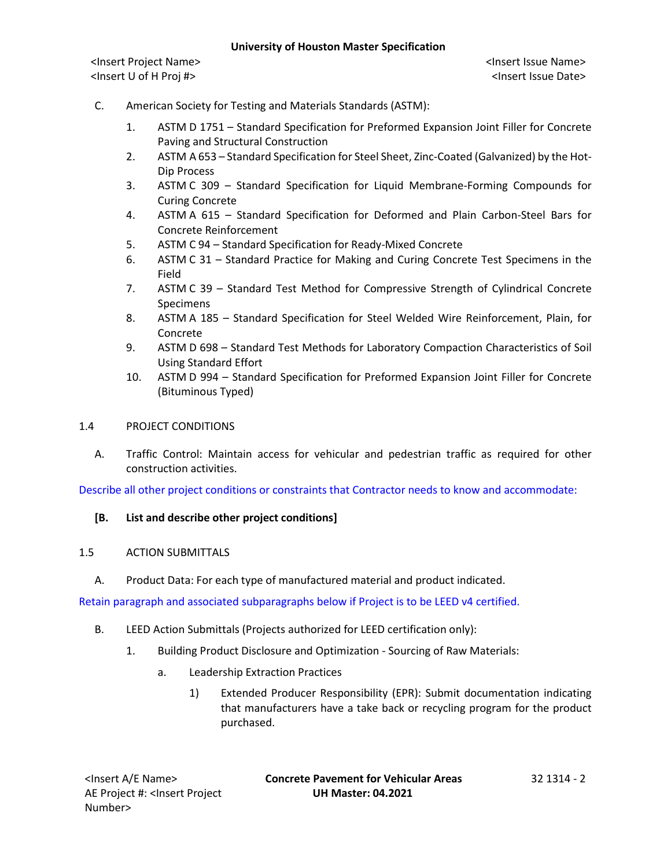- C. American Society for Testing and Materials Standards (ASTM):
	- 1. ASTM D 1751 Standard Specification for Preformed Expansion Joint Filler for Concrete Paving and Structural Construction
	- 2. ASTM A 653 Standard Specification for Steel Sheet, Zinc-Coated (Galvanized) by the Hot-Dip Process
	- 3. ASTM C 309 Standard Specification for Liquid Membrane-Forming Compounds for Curing Concrete
	- 4. ASTM A 615 Standard Specification for Deformed and Plain Carbon-Steel Bars for Concrete Reinforcement
	- 5. ASTM C 94 Standard Specification for Ready-Mixed Concrete
	- 6. ASTM C 31 Standard Practice for Making and Curing Concrete Test Specimens in the Field
	- 7. ASTM C 39 Standard Test Method for Compressive Strength of Cylindrical Concrete Specimens
	- 8. ASTM A 185 Standard Specification for Steel Welded Wire Reinforcement, Plain, for Concrete
	- 9. ASTM D 698 Standard Test Methods for Laboratory Compaction Characteristics of Soil Using Standard Effort
	- 10. ASTM D 994 Standard Specification for Preformed Expansion Joint Filler for Concrete (Bituminous Typed)

# 1.4 PROJECT CONDITIONS

A. Traffic Control: Maintain access for vehicular and pedestrian traffic as required for other construction activities.

Describe all other project conditions or constraints that Contractor needs to know and accommodate:

# **[B. List and describe other project conditions]**

# 1.5 ACTION SUBMITTALS

A. Product Data: For each type of manufactured material and product indicated.

Retain paragraph and associated subparagraphs below if Project is to be LEED v4 certified.

- B. LEED Action Submittals (Projects authorized for LEED certification only):
	- 1. Building Product Disclosure and Optimization Sourcing of Raw Materials:
		- a. Leadership Extraction Practices
			- 1) Extended Producer Responsibility (EPR): Submit documentation indicating that manufacturers have a take back or recycling program for the product purchased.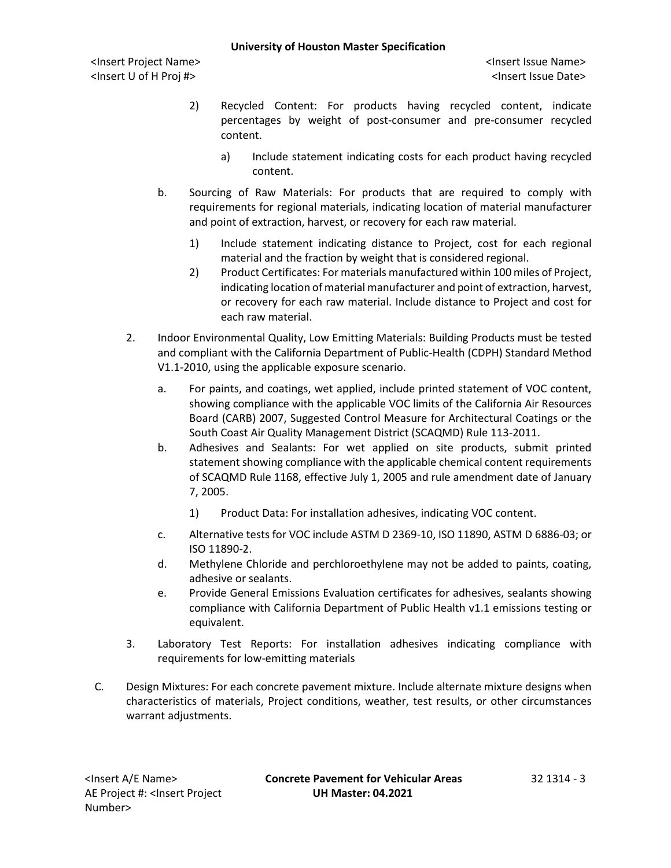<Insert Project Name> <Insert Issue Name> <Insert U of H Proj #> <Insert Issue Date>

- 2) Recycled Content: For products having recycled content, indicate percentages by weight of post-consumer and pre-consumer recycled content.
	- a) Include statement indicating costs for each product having recycled content.
- b. Sourcing of Raw Materials: For products that are required to comply with requirements for regional materials, indicating location of material manufacturer and point of extraction, harvest, or recovery for each raw material.
	- 1) Include statement indicating distance to Project, cost for each regional material and the fraction by weight that is considered regional.
	- 2) Product Certificates: For materials manufactured within 100 miles of Project, indicating location of material manufacturer and point of extraction, harvest, or recovery for each raw material. Include distance to Project and cost for each raw material.
- 2. Indoor Environmental Quality, Low Emitting Materials: Building Products must be tested and compliant with the California Department of Public-Health (CDPH) Standard Method V1.1-2010, using the applicable exposure scenario.
	- a. For paints, and coatings, wet applied, include printed statement of VOC content, showing compliance with the applicable VOC limits of the California Air Resources Board (CARB) 2007, Suggested Control Measure for Architectural Coatings or the South Coast Air Quality Management District (SCAQMD) Rule 113-2011.
	- b. Adhesives and Sealants: For wet applied on site products, submit printed statement showing compliance with the applicable chemical content requirements of SCAQMD Rule 1168, effective July 1, 2005 and rule amendment date of January 7, 2005.
		- 1) Product Data: For installation adhesives, indicating VOC content.
	- c. Alternative tests for VOC include ASTM D 2369-10, ISO 11890, ASTM D 6886-03; or ISO 11890-2.
	- d. Methylene Chloride and perchloroethylene may not be added to paints, coating, adhesive or sealants.
	- e. Provide General Emissions Evaluation certificates for adhesives, sealants showing compliance with California Department of Public Health v1.1 emissions testing or equivalent.
- 3. Laboratory Test Reports: For installation adhesives indicating compliance with requirements for low-emitting materials
- C. Design Mixtures: For each concrete pavement mixture. Include alternate mixture designs when characteristics of materials, Project conditions, weather, test results, or other circumstances warrant adjustments.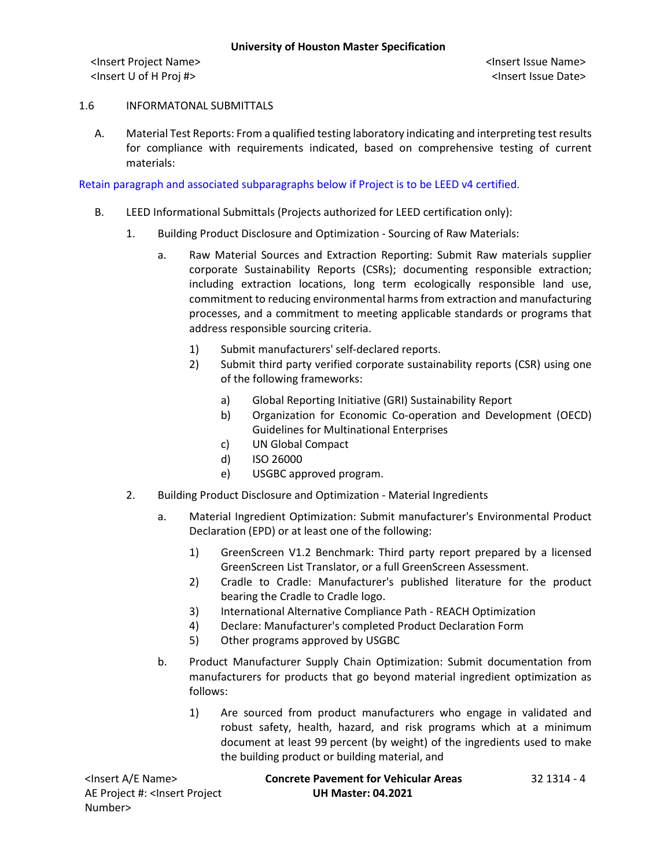#### 1.6 INFORMATONAL SUBMITTALS

A. Material Test Reports: From a qualified testing laboratory indicating and interpreting test results for compliance with requirements indicated, based on comprehensive testing of current materials:

Retain paragraph and associated subparagraphs below if Project is to be LEED v4 certified.

- B. LEED Informational Submittals (Projects authorized for LEED certification only):
	- 1. Building Product Disclosure and Optimization Sourcing of Raw Materials:
		- a. Raw Material Sources and Extraction Reporting: Submit Raw materials supplier corporate Sustainability Reports (CSRs); documenting responsible extraction; including extraction locations, long term ecologically responsible land use, commitment to reducing environmental harms from extraction and manufacturing processes, and a commitment to meeting applicable standards or programs that address responsible sourcing criteria.
			- 1) Submit manufacturers' self-declared reports.
			- 2) Submit third party verified corporate sustainability reports (CSR) using one of the following frameworks:
				- a) Global Reporting Initiative (GRI) Sustainability Report
				- b) Organization for Economic Co-operation and Development (OECD) Guidelines for Multinational Enterprises
				- c) UN Global Compact
				- d) ISO 26000
				- e) USGBC approved program.
	- 2. Building Product Disclosure and Optimization Material Ingredients
		- a. Material Ingredient Optimization: Submit manufacturer's Environmental Product Declaration (EPD) or at least one of the following:
			- 1) GreenScreen V1.2 Benchmark: Third party report prepared by a licensed GreenScreen List Translator, or a full GreenScreen Assessment.
			- 2) Cradle to Cradle: Manufacturer's published literature for the product bearing the Cradle to Cradle logo.
			- 3) International Alternative Compliance Path REACH Optimization
			- 4) Declare: Manufacturer's completed Product Declaration Form
			- 5) Other programs approved by USGBC
		- b. Product Manufacturer Supply Chain Optimization: Submit documentation from manufacturers for products that go beyond material ingredient optimization as follows:
			- 1) Are sourced from product manufacturers who engage in validated and robust safety, health, hazard, and risk programs which at a minimum document at least 99 percent (by weight) of the ingredients used to make the building product or building material, and

<Insert A/E Name> **Concrete Pavement for Vehicular Areas** 32 1314 - 4 AE Project #: <Insert Project Number> **UH Master: 04.2021**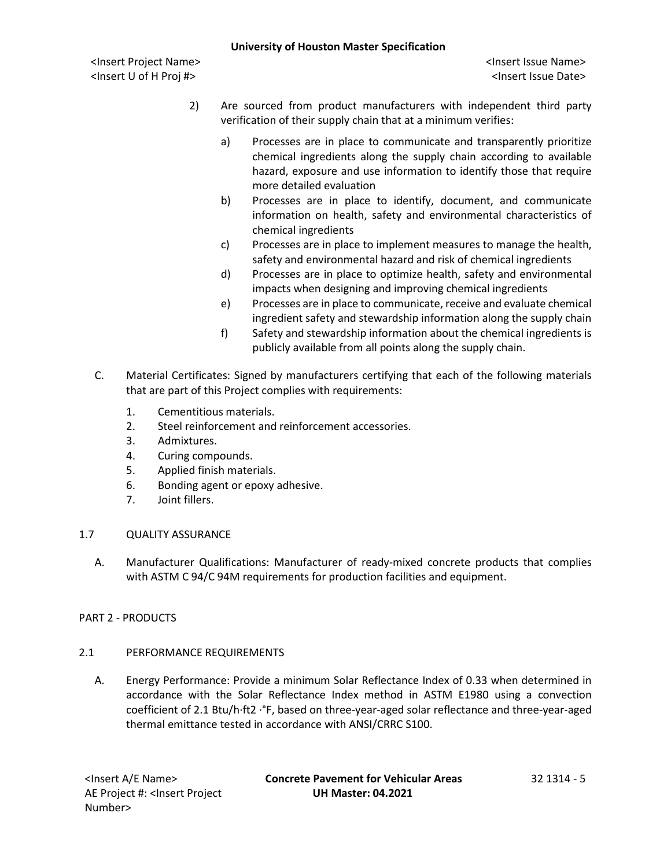- 2) Are sourced from product manufacturers with independent third party verification of their supply chain that at a minimum verifies:
	- a) Processes are in place to communicate and transparently prioritize chemical ingredients along the supply chain according to available hazard, exposure and use information to identify those that require more detailed evaluation
	- b) Processes are in place to identify, document, and communicate information on health, safety and environmental characteristics of chemical ingredients
	- c) Processes are in place to implement measures to manage the health, safety and environmental hazard and risk of chemical ingredients
	- d) Processes are in place to optimize health, safety and environmental impacts when designing and improving chemical ingredients
	- e) Processes are in place to communicate, receive and evaluate chemical ingredient safety and stewardship information along the supply chain
	- f) Safety and stewardship information about the chemical ingredients is publicly available from all points along the supply chain.
- C. Material Certificates: Signed by manufacturers certifying that each of the following materials that are part of this Project complies with requirements:
	- 1. Cementitious materials.
	- 2. Steel reinforcement and reinforcement accessories.
	- 3. Admixtures.
	- 4. Curing compounds.
	- 5. Applied finish materials.
	- 6. Bonding agent or epoxy adhesive.
	- 7. Joint fillers.

# 1.7 QUALITY ASSURANCE

A. Manufacturer Qualifications: Manufacturer of ready-mixed concrete products that complies with ASTM C 94/C 94M requirements for production facilities and equipment.

# PART 2 - PRODUCTS

# 2.1 PERFORMANCE REQUIREMENTS

A. Energy Performance: Provide a minimum Solar Reflectance Index of 0.33 when determined in accordance with the Solar Reflectance Index method in ASTM E1980 using a convection coefficient of 2.1 Btu/h·ft2 ·°F, based on three-year-aged solar reflectance and three-year-aged thermal emittance tested in accordance with ANSI/CRRC S100.

<Insert A/E Name> **Concrete Pavement for Vehicular Areas** 32 1314 - 5 **UH Master: 04.2021**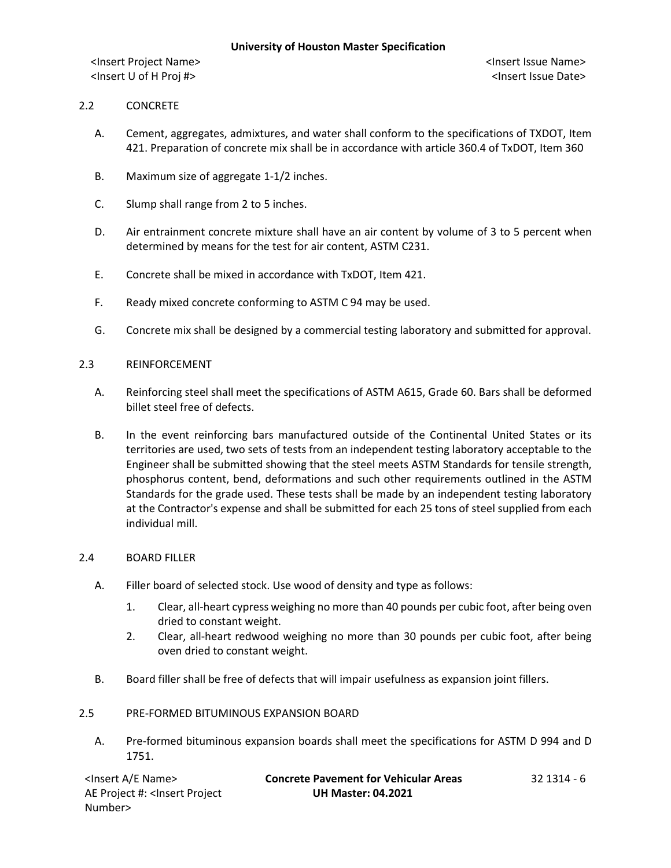## 2.2 CONCRETE

- A. Cement, aggregates, admixtures, and water shall conform to the specifications of TXDOT, Item 421. Preparation of concrete mix shall be in accordance with article 360.4 of TxDOT, Item 360
- B. Maximum size of aggregate 1-1/2 inches.
- C. Slump shall range from 2 to 5 inches.
- D. Air entrainment concrete mixture shall have an air content by volume of 3 to 5 percent when determined by means for the test for air content, ASTM C231.
- E. Concrete shall be mixed in accordance with TxDOT, Item 421.
- F. Ready mixed concrete conforming to ASTM C 94 may be used.
- G. Concrete mix shall be designed by a commercial testing laboratory and submitted for approval.

#### 2.3 REINFORCEMENT

- A. Reinforcing steel shall meet the specifications of ASTM A615, Grade 60. Bars shall be deformed billet steel free of defects.
- B. In the event reinforcing bars manufactured outside of the Continental United States or its territories are used, two sets of tests from an independent testing laboratory acceptable to the Engineer shall be submitted showing that the steel meets ASTM Standards for tensile strength, phosphorus content, bend, deformations and such other requirements outlined in the ASTM Standards for the grade used. These tests shall be made by an independent testing laboratory at the Contractor's expense and shall be submitted for each 25 tons of steel supplied from each individual mill.

#### 2.4 BOARD FILLER

- A. Filler board of selected stock. Use wood of density and type as follows:
	- 1. Clear, all-heart cypress weighing no more than 40 pounds per cubic foot, after being oven dried to constant weight.
	- 2. Clear, all-heart redwood weighing no more than 30 pounds per cubic foot, after being oven dried to constant weight.
- B. Board filler shall be free of defects that will impair usefulness as expansion joint fillers.

## 2.5 PRE-FORMED BITUMINOUS EXPANSION BOARD

A. Pre-formed bituminous expansion boards shall meet the specifications for ASTM D 994 and D 1751.

| <lnsert a="" e="" name=""></lnsert>                                                          | <b>Concrete Pavement for Vehicular Areas</b> | 32 1314 - 6 |
|----------------------------------------------------------------------------------------------|----------------------------------------------|-------------|
| AE Project #: <lnsert project<="" td=""><td><b>UH Master: 04.2021</b></td><td></td></lnsert> | <b>UH Master: 04.2021</b>                    |             |
| Number>                                                                                      |                                              |             |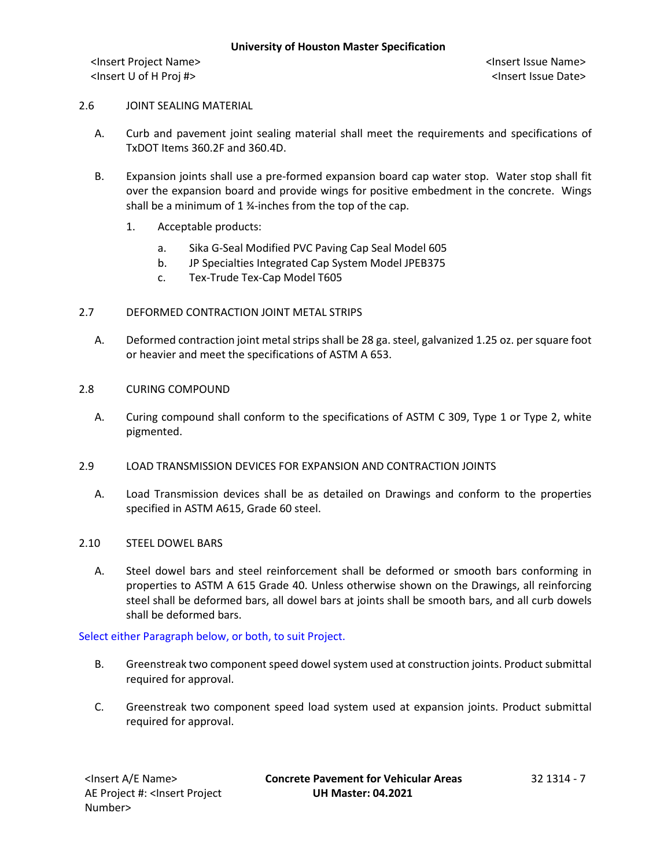#### 2.6 JOINT SEALING MATERIAL

- A. Curb and pavement joint sealing material shall meet the requirements and specifications of TxDOT Items 360.2F and 360.4D.
- B. Expansion joints shall use a pre-formed expansion board cap water stop. Water stop shall fit over the expansion board and provide wings for positive embedment in the concrete. Wings shall be a minimum of 1 ¾-inches from the top of the cap.
	- 1. Acceptable products:
		- a. Sika G-Seal Modified PVC Paving Cap Seal Model 605
		- b. JP Specialties Integrated Cap System Model JPEB375
		- c. Tex-Trude Tex-Cap Model T605

#### 2.7 DEFORMED CONTRACTION JOINT METAL STRIPS

- A. Deformed contraction joint metal strips shall be 28 ga. steel, galvanized 1.25 oz. per square foot or heavier and meet the specifications of ASTM A 653.
- 2.8 CURING COMPOUND
	- A. Curing compound shall conform to the specifications of ASTM C 309, Type 1 or Type 2, white pigmented.
- 2.9 LOAD TRANSMISSION DEVICES FOR EXPANSION AND CONTRACTION JOINTS
	- A. Load Transmission devices shall be as detailed on Drawings and conform to the properties specified in ASTM A615, Grade 60 steel.
- 2.10 STEEL DOWEL BARS
	- A. Steel dowel bars and steel reinforcement shall be deformed or smooth bars conforming in properties to ASTM A 615 Grade 40. Unless otherwise shown on the Drawings, all reinforcing steel shall be deformed bars, all dowel bars at joints shall be smooth bars, and all curb dowels shall be deformed bars.

Select either Paragraph below, or both, to suit Project.

- B. Greenstreak two component speed dowel system used at construction joints. Product submittal required for approval.
- C. Greenstreak two component speed load system used at expansion joints. Product submittal required for approval.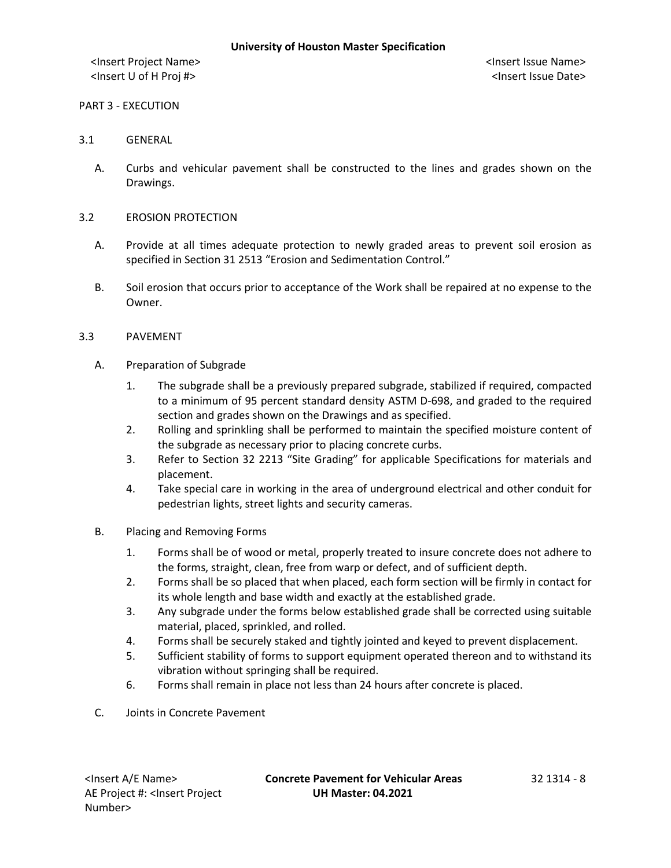#### PART 3 - EXECUTION

### 3.1 GENERAL

A. Curbs and vehicular pavement shall be constructed to the lines and grades shown on the Drawings.

### 3.2 EROSION PROTECTION

- A. Provide at all times adequate protection to newly graded areas to prevent soil erosion as specified in Section 31 2513 "Erosion and Sedimentation Control."
- B. Soil erosion that occurs prior to acceptance of the Work shall be repaired at no expense to the Owner.

### 3.3 PAVEMENT

- A. Preparation of Subgrade
	- 1. The subgrade shall be a previously prepared subgrade, stabilized if required, compacted to a minimum of 95 percent standard density ASTM D-698, and graded to the required section and grades shown on the Drawings and as specified.
	- 2. Rolling and sprinkling shall be performed to maintain the specified moisture content of the subgrade as necessary prior to placing concrete curbs.
	- 3. Refer to Section 32 2213 "Site Grading" for applicable Specifications for materials and placement.
	- 4. Take special care in working in the area of underground electrical and other conduit for pedestrian lights, street lights and security cameras.
- B. Placing and Removing Forms
	- 1. Forms shall be of wood or metal, properly treated to insure concrete does not adhere to the forms, straight, clean, free from warp or defect, and of sufficient depth.
	- 2. Forms shall be so placed that when placed, each form section will be firmly in contact for its whole length and base width and exactly at the established grade.
	- 3. Any subgrade under the forms below established grade shall be corrected using suitable material, placed, sprinkled, and rolled.
	- 4. Forms shall be securely staked and tightly jointed and keyed to prevent displacement.
	- 5. Sufficient stability of forms to support equipment operated thereon and to withstand its vibration without springing shall be required.
	- 6. Forms shall remain in place not less than 24 hours after concrete is placed.
- C. Joints in Concrete Pavement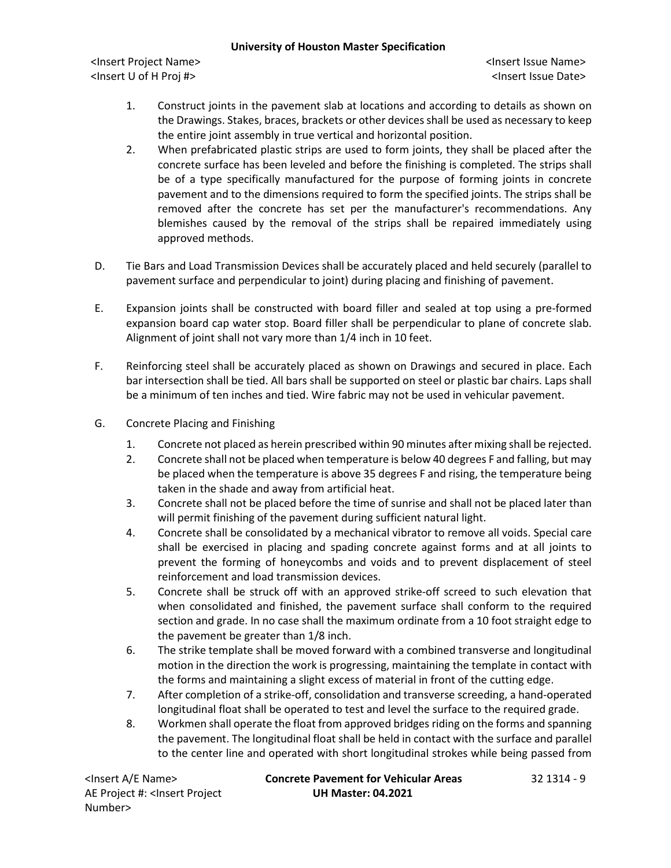<Insert Project Name> <Insert Issue Name> <Insert U of H Proj #> <Insert Issue Date>

- 1. Construct joints in the pavement slab at locations and according to details as shown on the Drawings. Stakes, braces, brackets or other devices shall be used as necessary to keep the entire joint assembly in true vertical and horizontal position.
- 2. When prefabricated plastic strips are used to form joints, they shall be placed after the concrete surface has been leveled and before the finishing is completed. The strips shall be of a type specifically manufactured for the purpose of forming joints in concrete pavement and to the dimensions required to form the specified joints. The strips shall be removed after the concrete has set per the manufacturer's recommendations. Any blemishes caused by the removal of the strips shall be repaired immediately using approved methods.
- D. Tie Bars and Load Transmission Devices shall be accurately placed and held securely (parallel to pavement surface and perpendicular to joint) during placing and finishing of pavement.
- E. Expansion joints shall be constructed with board filler and sealed at top using a pre-formed expansion board cap water stop. Board filler shall be perpendicular to plane of concrete slab. Alignment of joint shall not vary more than 1/4 inch in 10 feet.
- F. Reinforcing steel shall be accurately placed as shown on Drawings and secured in place. Each bar intersection shall be tied. All bars shall be supported on steel or plastic bar chairs. Laps shall be a minimum of ten inches and tied. Wire fabric may not be used in vehicular pavement.
- G. Concrete Placing and Finishing
	- 1. Concrete not placed as herein prescribed within 90 minutes after mixing shall be rejected.
	- 2. Concrete shall not be placed when temperature is below 40 degrees F and falling, but may be placed when the temperature is above 35 degrees F and rising, the temperature being taken in the shade and away from artificial heat.
	- 3. Concrete shall not be placed before the time of sunrise and shall not be placed later than will permit finishing of the pavement during sufficient natural light.
	- 4. Concrete shall be consolidated by a mechanical vibrator to remove all voids. Special care shall be exercised in placing and spading concrete against forms and at all joints to prevent the forming of honeycombs and voids and to prevent displacement of steel reinforcement and load transmission devices.
	- 5. Concrete shall be struck off with an approved strike-off screed to such elevation that when consolidated and finished, the pavement surface shall conform to the required section and grade. In no case shall the maximum ordinate from a 10 foot straight edge to the pavement be greater than 1/8 inch.
	- 6. The strike template shall be moved forward with a combined transverse and longitudinal motion in the direction the work is progressing, maintaining the template in contact with the forms and maintaining a slight excess of material in front of the cutting edge.
	- 7. After completion of a strike-off, consolidation and transverse screeding, a hand-operated longitudinal float shall be operated to test and level the surface to the required grade.
	- 8. Workmen shall operate the float from approved bridges riding on the forms and spanning the pavement. The longitudinal float shall be held in contact with the surface and parallel to the center line and operated with short longitudinal strokes while being passed from

AE Project #: <Insert Project Number>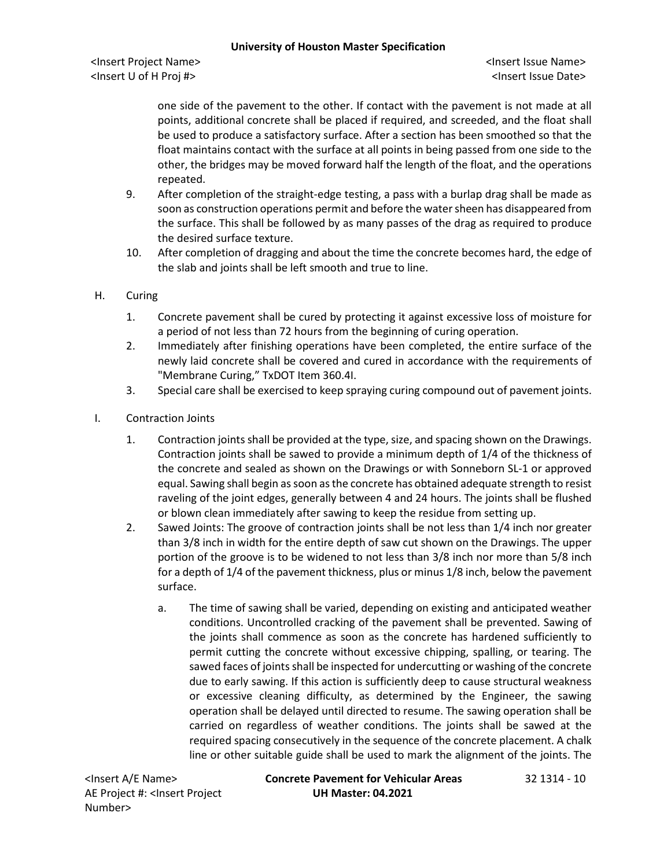<Insert Project Name> <Insert Issue Name> <Insert U of H Proj #> <Insert Issue Date>

one side of the pavement to the other. If contact with the pavement is not made at all points, additional concrete shall be placed if required, and screeded, and the float shall be used to produce a satisfactory surface. After a section has been smoothed so that the float maintains contact with the surface at all points in being passed from one side to the other, the bridges may be moved forward half the length of the float, and the operations repeated.

- 9. After completion of the straight-edge testing, a pass with a burlap drag shall be made as soon as construction operations permit and before the water sheen has disappeared from the surface. This shall be followed by as many passes of the drag as required to produce the desired surface texture.
- 10. After completion of dragging and about the time the concrete becomes hard, the edge of the slab and joints shall be left smooth and true to line.
- H. Curing
	- 1. Concrete pavement shall be cured by protecting it against excessive loss of moisture for a period of not less than 72 hours from the beginning of curing operation.
	- 2. Immediately after finishing operations have been completed, the entire surface of the newly laid concrete shall be covered and cured in accordance with the requirements of "Membrane Curing," TxDOT Item 360.4I.
	- 3. Special care shall be exercised to keep spraying curing compound out of pavement joints.
- I. Contraction Joints
	- 1. Contraction joints shall be provided at the type, size, and spacing shown on the Drawings. Contraction joints shall be sawed to provide a minimum depth of 1/4 of the thickness of the concrete and sealed as shown on the Drawings or with Sonneborn SL-1 or approved equal. Sawing shall begin as soon as the concrete has obtained adequate strength to resist raveling of the joint edges, generally between 4 and 24 hours. The joints shall be flushed or blown clean immediately after sawing to keep the residue from setting up.
	- 2. Sawed Joints: The groove of contraction joints shall be not less than 1/4 inch nor greater than 3/8 inch in width for the entire depth of saw cut shown on the Drawings. The upper portion of the groove is to be widened to not less than 3/8 inch nor more than 5/8 inch for a depth of 1/4 of the pavement thickness, plus or minus 1/8 inch, below the pavement surface.
		- a. The time of sawing shall be varied, depending on existing and anticipated weather conditions. Uncontrolled cracking of the pavement shall be prevented. Sawing of the joints shall commence as soon as the concrete has hardened sufficiently to permit cutting the concrete without excessive chipping, spalling, or tearing. The sawed faces of joints shall be inspected for undercutting or washing of the concrete due to early sawing. If this action is sufficiently deep to cause structural weakness or excessive cleaning difficulty, as determined by the Engineer, the sawing operation shall be delayed until directed to resume. The sawing operation shall be carried on regardless of weather conditions. The joints shall be sawed at the required spacing consecutively in the sequence of the concrete placement. A chalk line or other suitable guide shall be used to mark the alignment of the joints. The

AE Project #: <Insert Project Number>

<Insert A/E Name> **Concrete Pavement for Vehicular Areas** 32 1314 - 10 **UH Master: 04.2021**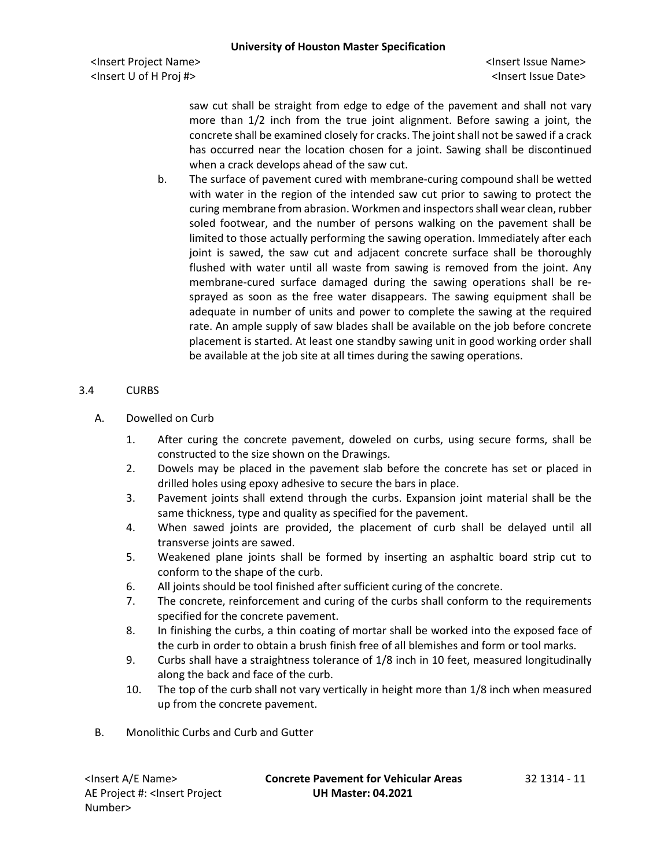saw cut shall be straight from edge to edge of the pavement and shall not vary more than 1/2 inch from the true joint alignment. Before sawing a joint, the concrete shall be examined closely for cracks. The joint shall not be sawed if a crack has occurred near the location chosen for a joint. Sawing shall be discontinued when a crack develops ahead of the saw cut.

b. The surface of pavement cured with membrane-curing compound shall be wetted with water in the region of the intended saw cut prior to sawing to protect the curing membrane from abrasion. Workmen and inspectors shall wear clean, rubber soled footwear, and the number of persons walking on the pavement shall be limited to those actually performing the sawing operation. Immediately after each joint is sawed, the saw cut and adjacent concrete surface shall be thoroughly flushed with water until all waste from sawing is removed from the joint. Any membrane-cured surface damaged during the sawing operations shall be resprayed as soon as the free water disappears. The sawing equipment shall be adequate in number of units and power to complete the sawing at the required rate. An ample supply of saw blades shall be available on the job before concrete placement is started. At least one standby sawing unit in good working order shall be available at the job site at all times during the sawing operations.

# 3.4 CURBS

- A. Dowelled on Curb
	- 1. After curing the concrete pavement, doweled on curbs, using secure forms, shall be constructed to the size shown on the Drawings.
	- 2. Dowels may be placed in the pavement slab before the concrete has set or placed in drilled holes using epoxy adhesive to secure the bars in place.
	- 3. Pavement joints shall extend through the curbs. Expansion joint material shall be the same thickness, type and quality as specified for the pavement.
	- 4. When sawed joints are provided, the placement of curb shall be delayed until all transverse joints are sawed.
	- 5. Weakened plane joints shall be formed by inserting an asphaltic board strip cut to conform to the shape of the curb.
	- 6. All joints should be tool finished after sufficient curing of the concrete.
	- 7. The concrete, reinforcement and curing of the curbs shall conform to the requirements specified for the concrete pavement.
	- 8. In finishing the curbs, a thin coating of mortar shall be worked into the exposed face of the curb in order to obtain a brush finish free of all blemishes and form or tool marks.
	- 9. Curbs shall have a straightness tolerance of 1/8 inch in 10 feet, measured longitudinally along the back and face of the curb.
	- 10. The top of the curb shall not vary vertically in height more than 1/8 inch when measured up from the concrete pavement.
- B. Monolithic Curbs and Curb and Gutter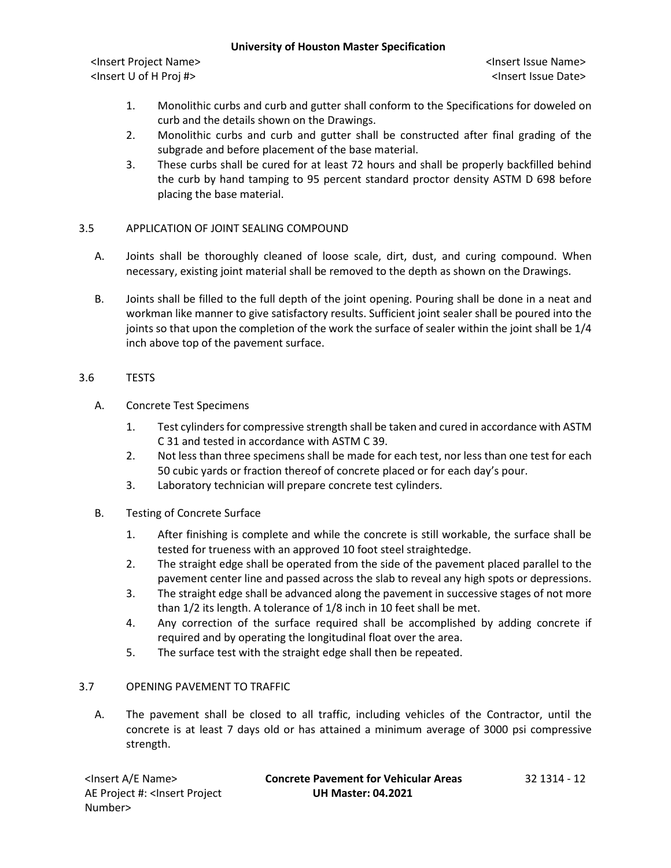<Insert Project Name> <Insert Issue Name> <Insert U of H Proj #> <Insert Issue Date>

- 1. Monolithic curbs and curb and gutter shall conform to the Specifications for doweled on curb and the details shown on the Drawings.
- 2. Monolithic curbs and curb and gutter shall be constructed after final grading of the subgrade and before placement of the base material.
- 3. These curbs shall be cured for at least 72 hours and shall be properly backfilled behind the curb by hand tamping to 95 percent standard proctor density ASTM D 698 before placing the base material.

# 3.5 APPLICATION OF JOINT SEALING COMPOUND

- A. Joints shall be thoroughly cleaned of loose scale, dirt, dust, and curing compound. When necessary, existing joint material shall be removed to the depth as shown on the Drawings.
- B. Joints shall be filled to the full depth of the joint opening. Pouring shall be done in a neat and workman like manner to give satisfactory results. Sufficient joint sealer shall be poured into the joints so that upon the completion of the work the surface of sealer within the joint shall be 1/4 inch above top of the pavement surface.

# 3.6 TESTS

- A. Concrete Test Specimens
	- 1. Test cylinders for compressive strength shall be taken and cured in accordance with ASTM C 31 and tested in accordance with ASTM C 39.
	- 2. Not less than three specimens shall be made for each test, nor less than one test for each 50 cubic yards or fraction thereof of concrete placed or for each day's pour.
	- 3. Laboratory technician will prepare concrete test cylinders.
- B. Testing of Concrete Surface
	- 1. After finishing is complete and while the concrete is still workable, the surface shall be tested for trueness with an approved 10 foot steel straightedge.
	- 2. The straight edge shall be operated from the side of the pavement placed parallel to the pavement center line and passed across the slab to reveal any high spots or depressions.
	- 3. The straight edge shall be advanced along the pavement in successive stages of not more than 1/2 its length. A tolerance of 1/8 inch in 10 feet shall be met.
	- 4. Any correction of the surface required shall be accomplished by adding concrete if required and by operating the longitudinal float over the area.
	- 5. The surface test with the straight edge shall then be repeated.

# 3.7 OPENING PAVEMENT TO TRAFFIC

A. The pavement shall be closed to all traffic, including vehicles of the Contractor, until the concrete is at least 7 days old or has attained a minimum average of 3000 psi compressive strength.

| <insert a="" e="" name=""></insert>                                                          | <b>Concrete Pavement for Vehicular Areas</b> | 32 1314 - 12 |
|----------------------------------------------------------------------------------------------|----------------------------------------------|--------------|
| AE Project #: <lnsert project<="" td=""><td><b>UH Master: 04.2021</b></td><td></td></lnsert> | <b>UH Master: 04.2021</b>                    |              |
| Number>                                                                                      |                                              |              |